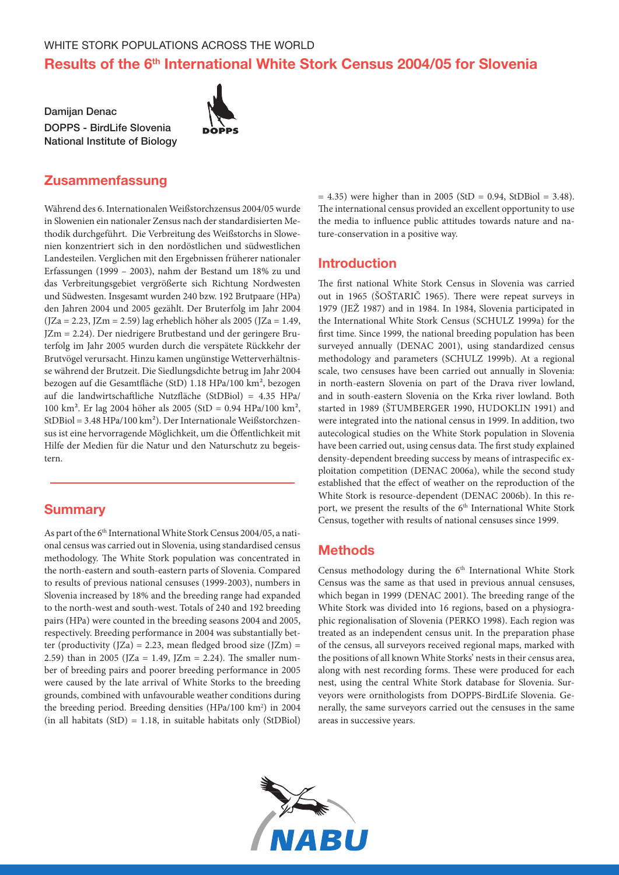# Results of the 6<sup>th</sup> International White Stork Census 2004/05 for Slovenia

Damijan Denac DOPPS - BirdLife Slovenia National Institute of Biology



# Zusammenfassung

Während des 6. Internationalen Weißstorchzensus 2004/05 wurde in Slowenien ein nationaler Zensus nach der standardisierten Methodik durchgeführt. Die Verbreitung des Weißstorchs in Slowenien konzentriert sich in den nordöstlichen und südwestlichen Landesteilen. Verglichen mit den Ergebnissen früherer nationaler Erfassungen (1999 – 2003), nahm der Bestand um 18% zu und das Verbreitungsgebiet vergrößerte sich Richtung Nordwesten und Südwesten. Insgesamt wurden 240 bzw. 192 Brutpaare (HPa) den Jahren 2004 und 2005 gezählt. Der Bruterfolg im Jahr 2004  $(JZa = 2.23, JZm = 2.59)$  lag erheblich höher als 2005 (JZa = 1.49, JZm = 2.24). Der niedrigere Brutbestand und der geringere Bruterfolg im Jahr 2005 wurden durch die verspätete Rückkehr der Brutvögel verursacht. Hinzu kamen ungünstige Wetterverhältnisse während der Brutzeit. Die Siedlungsdichte betrug im Jahr 2004 bezogen auf die Gesamtfläche (StD) 1.18 HPa/100 km², bezogen auf die landwirtschaftliche Nutzfläche (StDBiol) = 4.35 HPa/ 100 km². Er lag 2004 höher als 2005 (StD = 0.94 HPa/100 km², StDBiol = 3.48 HPa/100 km²). Der Internationale Weißstorchzensus ist eine hervorragende Möglichkeit, um die Öffentlichkeit mit Hilfe der Medien für die Natur und den Naturschutz zu begeistern.

### **Summary**

As part of the 6<sup>th</sup> International White Stork Census 2004/05, a national census was carried out in Slovenia, using standardised census methodology. The White Stork population was concentrated in the north-eastern and south-eastern parts of Slovenia. Compared to results of previous national censuses (1999-2003), numbers in Slovenia increased by 18% and the breeding range had expanded to the north-west and south-west. Totals of 240 and 192 breeding pairs (HPa) were counted in the breeding seasons 2004 and 2005, respectively. Breeding performance in 2004 was substantially better (productivity  $(JZa) = 2.23$ , mean fledged brood size  $(JZm) =$ 2.59) than in 2005 (JZa = 1.49, JZm = 2.24). The smaller number of breeding pairs and poorer breeding performance in 2005 were caused by the late arrival of White Storks to the breeding grounds, combined with unfavourable weather conditions during the breeding period. Breeding densities (HPa/100 km<sup>2</sup>) in 2004 (in all habitats  $(StD) = 1.18$ , in suitable habitats only  $(StDBiol)$ )

 $= 4.35$ ) were higher than in 2005 (StD = 0.94, StDBiol = 3.48). The international census provided an excellent opportunity to use the media to influence public attitudes towards nature and nature-conservation in a positive way.

### Introduction

The first national White Stork Census in Slovenia was carried out in 1965 (ŠOŠTARIČ 1965). There were repeat surveys in 1979 (JEŽ 1987) and in 1984. In 1984, Slovenia participated in the International White Stork Census (SCHULZ 1999a) for the first time. Since 1999, the national breeding population has been surveyed annually (DENAC 2001), using standardized census methodology and parameters (SCHULZ 1999b). At a regional scale, two censuses have been carried out annually in Slovenia: in north-eastern Slovenia on part of the Drava river lowland, and in south-eastern Slovenia on the Krka river lowland. Both started in 1989 (ŠTUMBERGER 1990, HUDOKLIN 1991) and were integrated into the national census in 1999. In addition, two autecological studies on the White Stork population in Slovenia have been carried out, using census data. The first study explained density-dependent breeding success by means of intraspecific exploitation competition (DENAC 2006a), while the second study established that the effect of weather on the reproduction of the White Stork is resource-dependent (DENAC 2006b). In this report, we present the results of the 6<sup>th</sup> International White Stork Census, together with results of national censuses since 1999.

### Methods

Census methodology during the  $6<sup>th</sup>$  International White Stork Census was the same as that used in previous annual censuses, which began in 1999 (DENAC 2001). The breeding range of the White Stork was divided into 16 regions, based on a physiographic regionalisation of Slovenia (PERKO 1998). Each region was treated as an independent census unit. In the preparation phase of the census, all surveyors received regional maps, marked with the positions of all known White Storks' nests in their census area, along with nest recording forms. These were produced for each nest, using the central White Stork database for Slovenia. Surveyors were ornithologists from DOPPS-BirdLife Slovenia. Generally, the same surveyors carried out the censuses in the same areas in successive years.

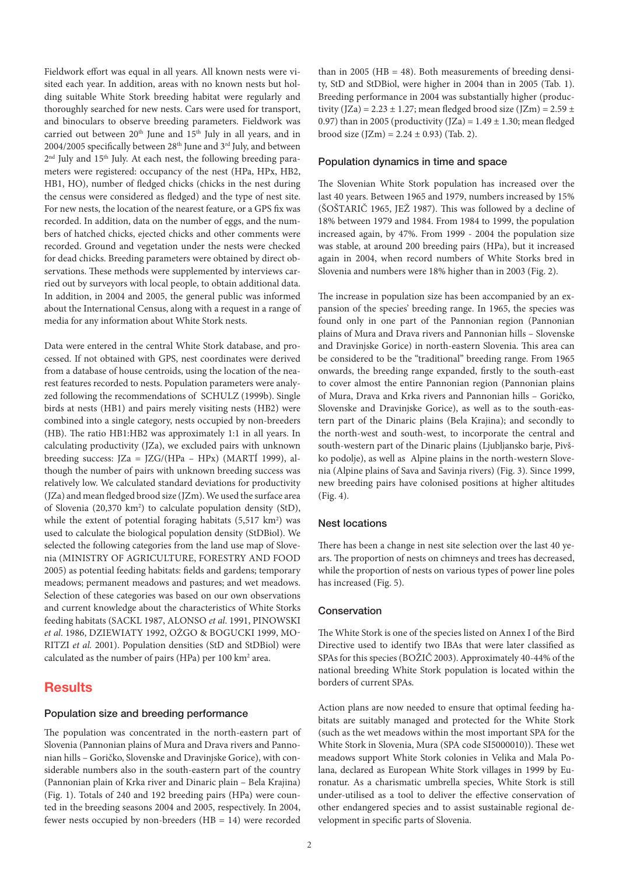Fieldwork effort was equal in all years. All known nests were visited each year. In addition, areas with no known nests but holding suitable White Stork breeding habitat were regularly and thoroughly searched for new nests. Cars were used for transport, and binoculars to observe breeding parameters. Fieldwork was carried out between 20<sup>th</sup> June and 15<sup>th</sup> July in all years, and in 2004/2005 specifically between 28<sup>th</sup> June and 3<sup>rd</sup> July, and between  $2<sup>nd</sup>$  July and  $15<sup>th</sup>$  July. At each nest, the following breeding parameters were registered: occupancy of the nest (HPa, HPx, HB2, HB1, HO), number of fledged chicks (chicks in the nest during the census were considered as fledged) and the type of nest site. For new nests, the location of the nearest feature, or a GPS fix was recorded. In addition, data on the number of eggs, and the numbers of hatched chicks, ejected chicks and other comments were recorded. Ground and vegetation under the nests were checked for dead chicks. Breeding parameters were obtained by direct observations. These methods were supplemented by interviews carried out by surveyors with local people, to obtain additional data. In addition, in 2004 and 2005, the general public was informed about the International Census, along with a request in a range of media for any information about White Stork nests.

Data were entered in the central White Stork database, and processed. If not obtained with GPS, nest coordinates were derived from a database of house centroids, using the location of the nearest features recorded to nests. Population parameters were analyzed following the recommendations of SCHULZ (1999b). Single birds at nests (HB1) and pairs merely visiting nests (HB2) were combined into a single category, nests occupied by non-breeders (HB). The ratio HB1:HB2 was approximately 1:1 in all years. In calculating productivity (JZa), we excluded pairs with unknown breeding success: JZa = JZG/(HPa – HPx) (MARTÍ 1999), although the number of pairs with unknown breeding success was relatively low. We calculated standard deviations for productivity (JZa) and mean fledged brood size (JZm). We used the surface area of Slovenia (20,370 km<sup>2</sup>) to calculate population density (StD), while the extent of potential foraging habitats  $(5,517 \text{ km}^2)$  was used to calculate the biological population density (StDBiol). We selected the following categories from the land use map of Slovenia (MINISTRY OF AGRICULTURE, FORESTRY AND FOOD 2005) as potential feeding habitats: fields and gardens; temporary meadows; permanent meadows and pastures; and wet meadows. Selection of these categories was based on our own observations and current knowledge about the characteristics of White Storks feeding habitats (SACKL 1987, ALONSO *et al*. 1991, PINOWSKI *et al*. 1986, DZIEWIATY 1992, OŻGO & BOGUCKI 1999, MO-RITZI *et al.* 2001). Population densities (StD and StDBiol) were calculated as the number of pairs (HPa) per 100 km<sup>2</sup> area.

# **Results**

### Population size and breeding performance

The population was concentrated in the north-eastern part of Slovenia (Pannonian plains of Mura and Drava rivers and Pannonian hills – Goričko, Slovenske and Dravinjske Gorice), with considerable numbers also in the south-eastern part of the country (Pannonian plain of Krka river and Dinaric plain – Bela Krajina) (Fig. 1). Totals of 240 and 192 breeding pairs (HPa) were counted in the breeding seasons 2004 and 2005, respectively. In 2004, fewer nests occupied by non-breeders (HB = 14) were recorded

than in 2005 ( $HB = 48$ ). Both measurements of breeding density, StD and StDBiol, were higher in 2004 than in 2005 (Tab. 1). Breeding performance in 2004 was substantially higher (productivity (JZa) = 2.23  $\pm$  1.27; mean fledged brood size (JZm) = 2.59  $\pm$ 0.97) than in 2005 (productivity  $(JZa) = 1.49 \pm 1.30$ ; mean fledged brood size  $(IZm) = 2.24 \pm 0.93$  (Tab. 2).

#### Population dynamics in time and space

The Slovenian White Stork population has increased over the last 40 years. Between 1965 and 1979, numbers increased by 15% (ŠOŠTARIČ 1965, JEŽ 1987). This was followed by a decline of 18% between 1979 and 1984. From 1984 to 1999, the population increased again, by 47%. From 1999 - 2004 the population size was stable, at around 200 breeding pairs (HPa), but it increased again in 2004, when record numbers of White Storks bred in Slovenia and numbers were 18% higher than in 2003 (Fig. 2).

The increase in population size has been accompanied by an expansion of the species' breeding range. In 1965, the species was found only in one part of the Pannonian region (Pannonian plains of Mura and Drava rivers and Pannonian hills – Slovenske and Dravinjske Gorice) in north-eastern Slovenia. This area can be considered to be the "traditional" breeding range. From 1965 onwards, the breeding range expanded, firstly to the south-east to cover almost the entire Pannonian region (Pannonian plains of Mura, Drava and Krka rivers and Pannonian hills – Goričko, Slovenske and Dravinjske Gorice), as well as to the south-eastern part of the Dinaric plains (Bela Krajina); and secondly to the north-west and south-west, to incorporate the central and south-western part of the Dinaric plains (Ljubljansko barje, Pivško podolje), as well as Alpine plains in the north-western Slovenia (Alpine plains of Sava and Savinja rivers) (Fig. 3). Since 1999, new breeding pairs have colonised positions at higher altitudes (Fig. 4).

#### Nest locations

There has been a change in nest site selection over the last 40 years. The proportion of nests on chimneys and trees has decreased, while the proportion of nests on various types of power line poles has increased (Fig. 5).

#### Conservation

The White Stork is one of the species listed on Annex I of the Bird Directive used to identify two IBAs that were later classified as SPAs for this species (BOŽIČ 2003). Approximately 40-44% of the national breeding White Stork population is located within the borders of current SPAs.

Action plans are now needed to ensure that optimal feeding habitats are suitably managed and protected for the White Stork (such as the wet meadows within the most important SPA for the White Stork in Slovenia, Mura (SPA code SI5000010)). These wet meadows support White Stork colonies in Velika and Mala Polana, declared as European White Stork villages in 1999 by Euronatur. As a charismatic umbrella species, White Stork is still under-utilised as a tool to deliver the effective conservation of other endangered species and to assist sustainable regional development in specific parts of Slovenia.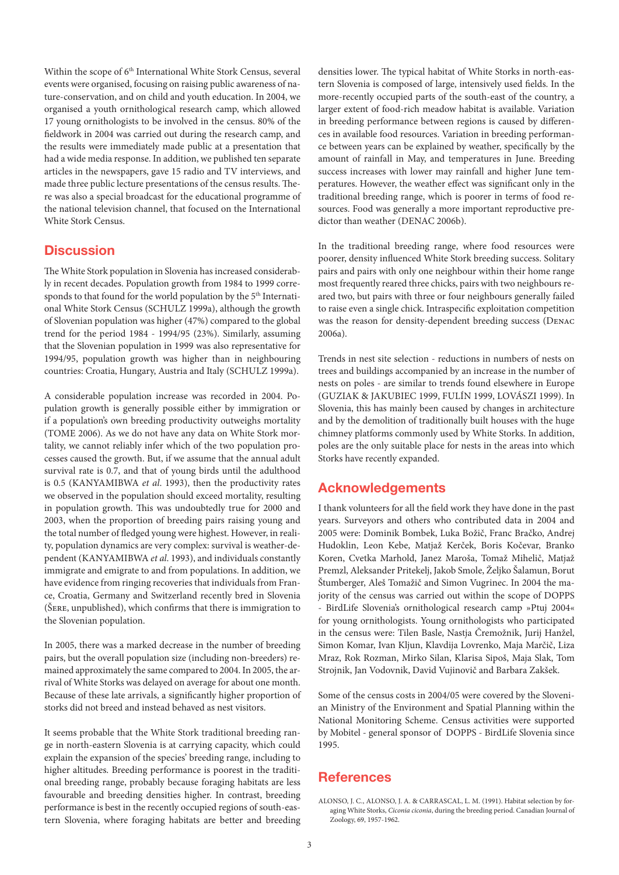Within the scope of 6<sup>th</sup> International White Stork Census, several events were organised, focusing on raising public awareness of nature-conservation, and on child and youth education. In 2004, we organised a youth ornithological research camp, which allowed 17 young ornithologists to be involved in the census. 80% of the fieldwork in 2004 was carried out during the research camp, and the results were immediately made public at a presentation that had a wide media response. In addition, we published ten separate articles in the newspapers, gave 15 radio and TV interviews, and made three public lecture presentations of the census results. There was also a special broadcast for the educational programme of the national television channel, that focused on the International White Stork Census.

### **Discussion**

The White Stork population in Slovenia has increased considerably in recent decades. Population growth from 1984 to 1999 corresponds to that found for the world population by the 5<sup>th</sup> International White Stork Census (SCHULZ 1999a), although the growth of Slovenian population was higher (47%) compared to the global trend for the period 1984 - 1994/95 (23%). Similarly, assuming that the Slovenian population in 1999 was also representative for 1994/95, population growth was higher than in neighbouring countries: Croatia, Hungary, Austria and Italy (SCHULZ 1999a).

A considerable population increase was recorded in 2004. Population growth is generally possible either by immigration or if a population's own breeding productivity outweighs mortality (TOME 2006). As we do not have any data on White Stork mortality, we cannot reliably infer which of the two population processes caused the growth. But, if we assume that the annual adult survival rate is 0.7, and that of young birds until the adulthood is 0.5 (KANYAMIBWA *et al*. 1993), then the productivity rates we observed in the population should exceed mortality, resulting in population growth. This was undoubtedly true for 2000 and 2003, when the proportion of breeding pairs raising young and the total number of fledged young were highest. However, in reality, population dynamics are very complex: survival is weather-dependent (KANYAMIBWA *et al*. 1993), and individuals constantly immigrate and emigrate to and from populations. In addition, we have evidence from ringing recoveries that individuals from France, Croatia, Germany and Switzerland recently bred in Slovenia (Šere, unpublished), which confirms that there is immigration to the Slovenian population.

In 2005, there was a marked decrease in the number of breeding pairs, but the overall population size (including non-breeders) remained approximately the same compared to 2004. In 2005, the arrival of White Storks was delayed on average for about one month. Because of these late arrivals, a significantly higher proportion of storks did not breed and instead behaved as nest visitors.

It seems probable that the White Stork traditional breeding range in north-eastern Slovenia is at carrying capacity, which could explain the expansion of the species' breeding range, including to higher altitudes. Breeding performance is poorest in the traditional breeding range, probably because foraging habitats are less favourable and breeding densities higher. In contrast, breeding performance is best in the recently occupied regions of south-eastern Slovenia, where foraging habitats are better and breeding densities lower. The typical habitat of White Storks in north-eastern Slovenia is composed of large, intensively used fields. In the more-recently occupied parts of the south-east of the country, a larger extent of food-rich meadow habitat is available. Variation in breeding performance between regions is caused by differences in available food resources. Variation in breeding performance between years can be explained by weather, specifically by the amount of rainfall in May, and temperatures in June. Breeding success increases with lower may rainfall and higher June temperatures. However, the weather effect was significant only in the traditional breeding range, which is poorer in terms of food resources. Food was generally a more important reproductive predictor than weather (DENAC 2006b).

In the traditional breeding range, where food resources were poorer, density influenced White Stork breeding success. Solitary pairs and pairs with only one neighbour within their home range most frequently reared three chicks, pairs with two neighbours reared two, but pairs with three or four neighbours generally failed to raise even a single chick. Intraspecific exploitation competition was the reason for density-dependent breeding success (Denac 2006a).

Trends in nest site selection - reductions in numbers of nests on trees and buildings accompanied by an increase in the number of nests on poles - are similar to trends found elsewhere in Europe (GUZIAK & JAKUBIEC 1999, FULÍN 1999, LOVÁSZI 1999). In Slovenia, this has mainly been caused by changes in architecture and by the demolition of traditionally built houses with the huge chimney platforms commonly used by White Storks. In addition, poles are the only suitable place for nests in the areas into which Storks have recently expanded.

### Acknowledgements

I thank volunteers for all the field work they have done in the past years. Surveyors and others who contributed data in 2004 and 2005 were: Dominik Bombek, Luka Božič, Franc Bračko, Andrej Hudoklin, Leon Kebe, Matjaž Kerček, Boris Kočevar, Branko Koren, Cvetka Marhold, Janez Maroša, Tomaž Mihelič, Matjaž Premzl, Aleksander Pritekelj, Jakob Smole, Željko Šalamun, Borut Štumberger, Aleš Tomažič and Simon Vugrinec. In 2004 the majority of the census was carried out within the scope of DOPPS - BirdLife Slovenia's ornithological research camp »Ptuj 2004« for young ornithologists. Young ornithologists who participated in the census were: Tilen Basle, Nastia Čremožnik, Jurij Hanžel, Simon Komar, Ivan Kljun, Klavdija Lovrenko, Maja Marčič, Liza Mraz, Rok Rozman, Mirko Silan, Klarisa Sipoš, Maja Slak, Tom Strojnik, Jan Vodovnik, David Vujinovič and Barbara Zakšek.

Some of the census costs in 2004/05 were covered by the Slovenian Ministry of the Environment and Spatial Planning within the National Monitoring Scheme. Census activities were supported by Mobitel - general sponsor of DOPPS - BirdLife Slovenia since 1995.

### **References**

ALONSO, J. C., ALONSO, J. A. & CARRASCAL, L. M. (1991). Habitat selection by foraging White Storks, *Ciconia ciconia*, during the breeding period. Canadian Journal of Zoology, 69, 1957-1962.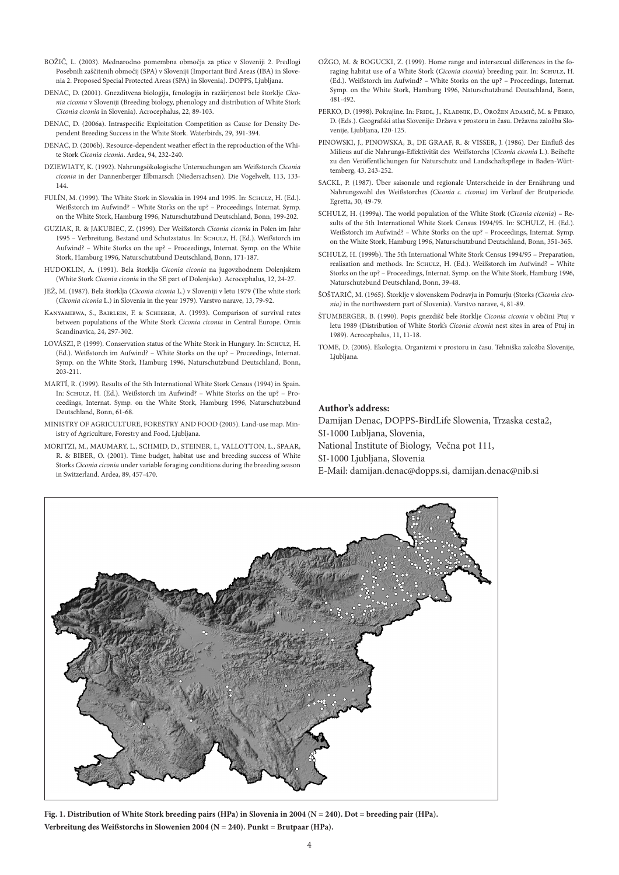- BOŽIČ, L. (2003). Mednarodno pomembna območja za ptice v Sloveniji 2. Predlogi Posebnih zaščitenih območij (SPA) v Sloveniji (Important Bird Areas (IBA) in Slovenia 2. Proposed Special Protected Areas (SPA) in Slovenia). DOPPS, Ljubljana.
- DENAC, D. (2001). Gnezditvena biologija, fenologija in razširjenost bele štorklje *Ciconia ciconia* v Sloveniji (Breeding biology, phenology and distribution of White Stork *Ciconia ciconia* in Slovenia). Acrocephalus, 22, 89-103.
- DENAC, D. (2006a). Intraspecific Exploitation Competition as Cause for Density Dependent Breeding Success in the White Stork. Waterbirds, 29, 391-394.
- DENAC, D. (2006b). Resource-dependent weather effect in the reproduction of the White Stork *Ciconia ciconia*. Ardea, 94, 232-240.
- DZIEWIATY, K. (1992). Nahrungsökologische Untersuchungen am Weißstorch *Ciconia ciconia* in der Dannenberger Elbmarsch (Niedersachsen). Die Vogelwelt, 113, 133- 144.
- FULÍN, M. (1999). The White Stork in Slovakia in 1994 and 1995. In: Schulz, H. (Ed.). Weißstorch im Aufwind? – White Storks on the up? – Proceedings, Internat. Symp. on the White Stork, Hamburg 1996, Naturschutzbund Deutschland, Bonn, 199-202.
- GUZIAK, R. & JAKUBIEC, Z. (1999). Der Weißstorch *Ciconia ciconia* in Polen im Jahr 1995 – Verbreitung, Bestand und Schutzstatus. In: Schulz, H. (Ed.). Weißstorch im Aufwind? – White Storks on the up? – Proceedings, Internat. Symp. on the White Stork, Hamburg 1996, Naturschutzbund Deutschland, Bonn, 171-187.
- HUDOKLIN, A. (1991). Bela štorklja *Ciconia ciconia* na jugovzhodnem Dolenjskem (White Stork *Ciconia ciconia* in the SE part of Dolenjsko). Acrocephalus, 12, 24-27.
- JEŽ, M. (1987). Bela štorklja (*Ciconia ciconia* L.) v Sloveniji v letu 1979 (The white stork (*Ciconia ciconia* L.) in Slovenia in the year 1979). Varstvo narave, 13, 79-92.
- Kanyamibwa, S., Bairlein, F. & Schierer, A. (1993). Comparison of survival rates between populations of the White Stork *Ciconia ciconia* in Central Europe. Ornis Scandinavica, 24, 297-302.
- LOVÁSZI, P. (1999). Conservation status of the White Stork in Hungary. In: SCHULZ, H. (Ed.). Weißstorch im Aufwind? – White Storks on the up? – Proceedings, Internat. Symp. on the White Stork, Hamburg 1996, Naturschutzbund Deutschland, Bonn, 203-211.
- MARTÍ, R. (1999). Results of the 5th International White Stork Census (1994) in Spain. In: SCHULZ, H. (Ed.). Weißstorch im Aufwind? - White Storks on the up? - Proceedings, Internat. Symp. on the White Stork, Hamburg 1996, Naturschutzbund Deutschland, Bonn, 61-68.
- MINISTRY OF AGRICULTURE, FORESTRY AND FOOD (2005). Land-use map. Ministry of Agriculture, Forestry and Food, Ljubljana.
- MORITZI, M., MAUMARY, L., SCHMID, D., STEINER, I., VALLOTTON, L., SPAAR, R. & BIBER, O. (2001). Time budget, habitat use and breeding success of White Storks *Ciconia ciconia* under variable foraging conditions during the breeding season in Switzerland. Ardea, 89, 457-470.
- OŻGO, M. & BOGUCKI, Z. (1999). Home range and intersexual differences in the foraging habitat use of a White Stork (*Ciconia ciconia*) breeding pair. In: Schulz, H. (Ed.). Weißstorch im Aufwind? – White Storks on the up? – Proceedings, Internat. Symp. on the White Stork, Hamburg 1996, Naturschutzbund Deutschland, Bonn, 481-492.
- PERKO, D. (1998). Pokrajine. In: Fridl, J., Kladnik, D., Orožen Adamič, M. & Perko, D. (Eds.). Geografski atlas Slovenije: Država v prostoru in času. Državna založba Slovenije, Ljubljana, 120-125.
- PINOWSKI, J., PINOWSKA, B., DE GRAAF, R. & VISSER, J. (1986). Der Einfluß des Milieus auf die Nahrungs-Effektivität des Weißstorchs (*Ciconia ciconia* L.). Beihefte zu den Veröffentlichungen für Naturschutz und Landschaftspflege in Baden-Württemberg, 43, 243-252.
- SACKL, P. (1987). Über saisonale und regionale Unterscheide in der Ernährung und Nahrungswahl des Weißstorches *(Ciconia c. ciconia)* im Verlauf der Brutperiode. Egretta, 30, 49-79.
- SCHULZ, H. (1999a). The world population of the White Stork (*Ciconia ciconia*) Results of the 5th International White Stork Census 1994/95. In: SCHULZ, H. (Ed.). Weißstorch im Aufwind? – White Storks on the up? – Proceedings, Internat. Symp. on the White Stork, Hamburg 1996, Naturschutzbund Deutschland, Bonn, 351-365.
- SCHULZ, H. (1999b). The 5th International White Stork Census 1994/95 Preparation, realisation and methods. In:  $SCHUTZ$ , H. (Ed.). Weißstorch im Aufwind? – White Storks on the up? – Proceedings, Internat. Symp. on the White Stork, Hamburg 1996, Naturschutzbund Deutschland, Bonn, 39-48.
- ŠOŠTARIČ, M. (1965). Štorklje v slovenskem Podravju in Pomurju (Storks *(Ciconia ciconia)* in the northwestern part of Slovenia). Varstvo narave, 4, 81-89.
- ŠTUMBERGER, B. (1990). Popis gnezdišč bele štorklje *Ciconia ciconia* v občini Ptuj v letu 1989 (Distribution of White Stork's *Ciconia ciconia* nest sites in area of Ptuj in 1989). Acrocephalus, 11, 11-18.
- TOME, D. (2006). Ekologija. Organizmi v prostoru in času. Tehniška založba Slovenije, Ljubljana.

#### **Author's address:**

Damijan Denac, DOPPS-BirdLife Slowenia, Trzaska cesta2, SI-1000 Lubljana, Slovenia,

National Institute of Biology, Večna pot 111,

SI-1000 Ljubljana, Slovenia

E-Mail: damijan.denac@dopps.si, damijan.denac@nib.si

**Fig. 1. Distribution of White Stork breeding pairs (HPa) in Slovenia in 2004 (N = 240). Dot = breeding pair (HPa). Verbreitung des Weißstorchs in Slowenien 2004 (N = 240). Punkt = Brutpaar (HPa).**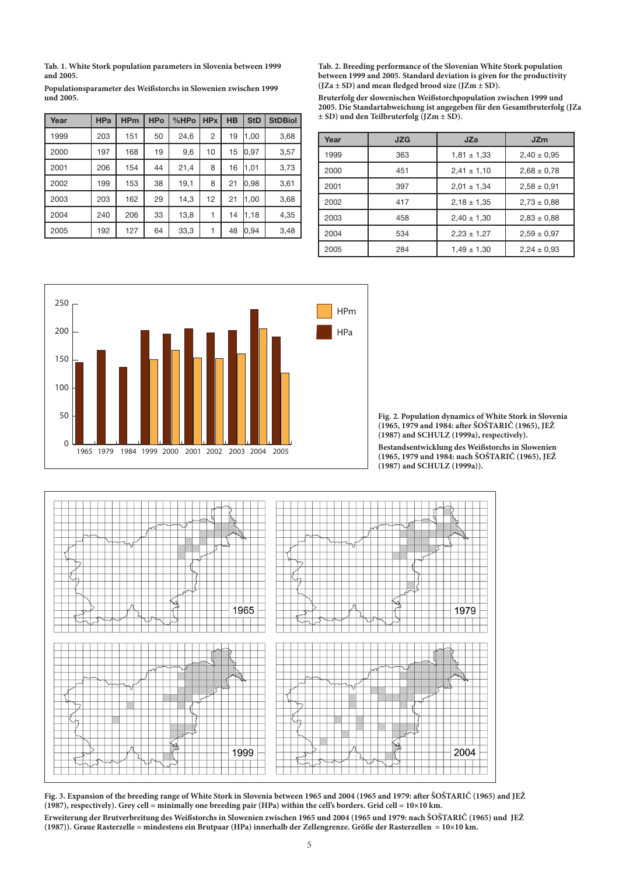**Tab. 1. White Stork population parameters in Slovenia between 1999 and 2005.**

| Populationsparameter des Weißstorchs in Slowenien zwischen 1999 |  |  |
|-----------------------------------------------------------------|--|--|
| und 2005.                                                       |  |  |

| Year | <b>HPa</b> | <b>HPm</b> | <b>HPo</b> | %HPo | <b>HPx</b>     | <b>HB</b> | <b>StD</b> | <b>StDBiol</b> |
|------|------------|------------|------------|------|----------------|-----------|------------|----------------|
| 1999 | 203        | 151        | 50         | 24,6 | $\overline{2}$ | 19        | 1,00       | 3,68           |
| 2000 | 197        | 168        | 19         | 9,6  | 10             | 15        | 0, 97      | 3,57           |
| 2001 | 206        | 154        | 44         | 21,4 | 8              | 16        | 1,01       | 3,73           |
| 2002 | 199        | 153        | 38         | 19,1 | 8              | 21        | 0,98       | 3,61           |
| 2003 | 203        | 162        | 29         | 14,3 | 12             | 21        | 1,00       | 3,68           |
| 2004 | 240        | 206        | 33         | 13,8 |                | 14        | 1,18       | 4,35           |
| 2005 | 192        | 127        | 64         | 33,3 |                | 48        | 0.94       | 3,48           |

**Tab. 2. Breeding performance of the Slovenian White Stork population between 1999 and 2005. Standard deviation is given for the productivity (JZa ± SD) and mean fledged brood size (JZm ± SD).**

**Bruterfolg der slowenischen Weißstorchpopulation zwischen 1999 und 2005. Die Standartabweichung ist angegeben für den Gesamtbruterfolg (JZa ± SD) und den Teilbruterfolg (JZm ± SD).** 

| Year | <b>JZG</b> | JZa             | <b>JZm</b>      |
|------|------------|-----------------|-----------------|
| 1999 | 363        | $1,81 \pm 1,33$ | $2,40 \pm 0.95$ |
| 2000 | 451        | $2,41 \pm 1,10$ | $2,68 \pm 0.78$ |
| 2001 | 397        | $2,01 \pm 1,34$ | $2,58 \pm 0.91$ |
| 2002 | 417        | $2.18 \pm 1.35$ | $2,73 \pm 0.88$ |
| 2003 | 458        | $2,40 \pm 1,30$ | $2,83 \pm 0,88$ |
| 2004 | 534        | $2,23 \pm 1,27$ | $2,59 \pm 0.97$ |
| 2005 | 284        | $1,49 \pm 1,30$ | $2,24 \pm 0,93$ |



**Fig. 2. Population dynamics of White Stork in Slovenia (1965, 1979 and 1984: after ŠOŠTARIČ (1965), JEŽ (1987) and SCHULZ (1999a), respectively).**

**Bestandsentwicklung des Weißstorchs in Slowenien (1965, 1979 und 1984: nach ŠOŠTARIČ (1965), JEŽ (1987) and SCHULZ (1999a)).**



**Fig. 3. Expansion of the breeding range of White Stork in Slovenia between 1965 and 2004 (1965 and 1979: after ŠOŠTARIČ (1965) and JEŽ (1987), respectively). Grey cell = minimally one breeding pair (HPa) within the cell's borders. Grid cell = 10×10 km. Erweiterung der Brutverbreitung des Weißstorchs in Slowenien zwischen 1965 und 2004 (1965 und 1979: nach ŠOŠTARIČ (1965) und JEŽ (1987)). Graue Rasterzelle = mindestens ein Brutpaar (HPa) innerhalb der Zellengrenze. Größe der Rasterzellen = 10×10 km.**